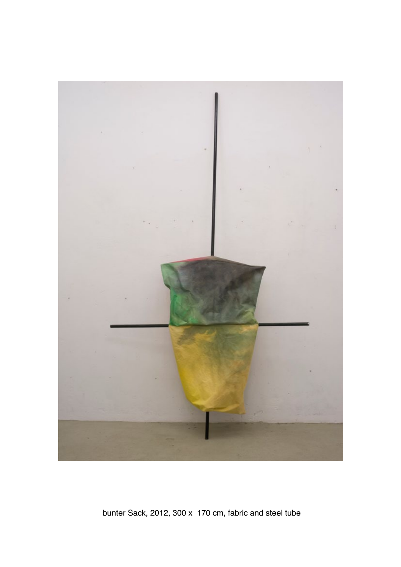

bunter Sack, 2012, 300 x 170 cm, fabric and steel tube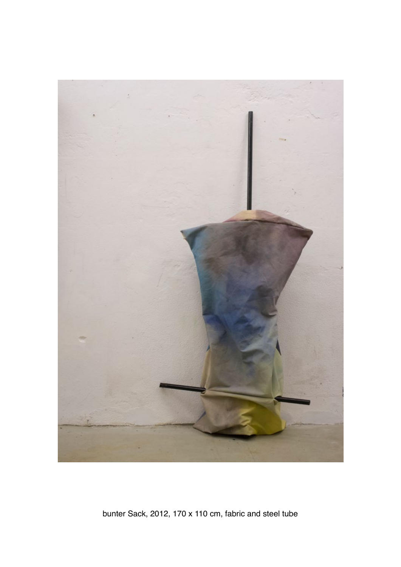

bunter Sack, 2012, 170 x 110 cm, fabric and steel tube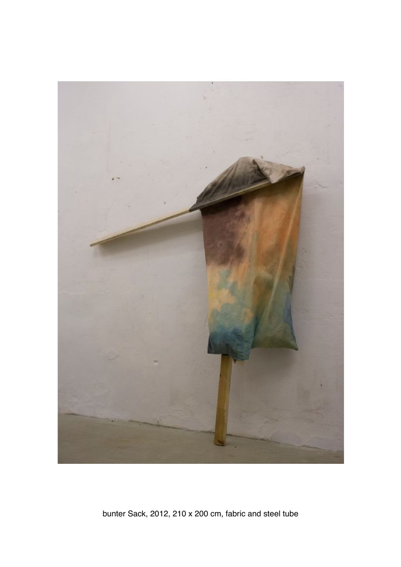

bunter Sack, 2012, 210 x 200 cm, fabric and steel tube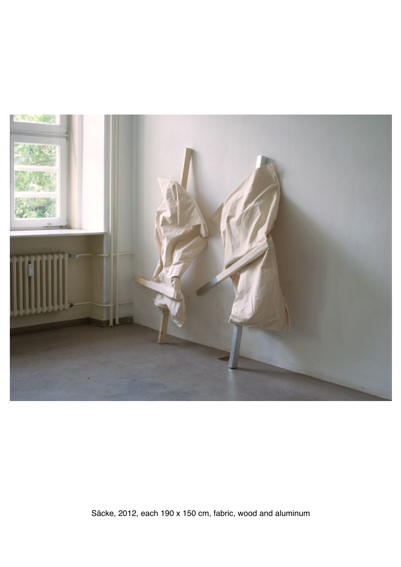

Säcke, 2012, each 190 x 150 cm, fabric, wood and aluminum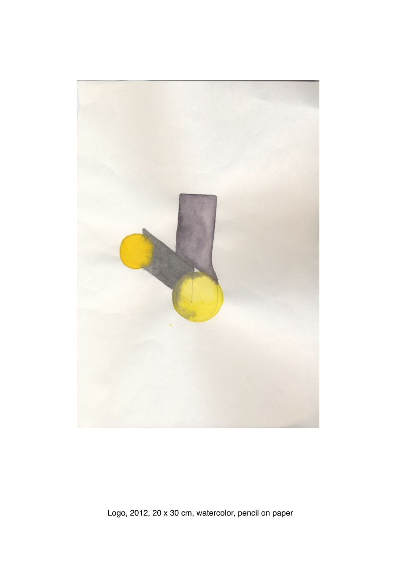

Logo, 2012, 20 x 30 cm, watercolor, pencil on paper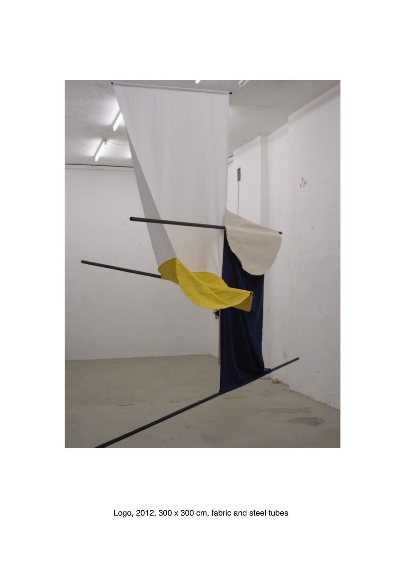

Logo, 2012, 300 x 300 cm, fabric and steel tubes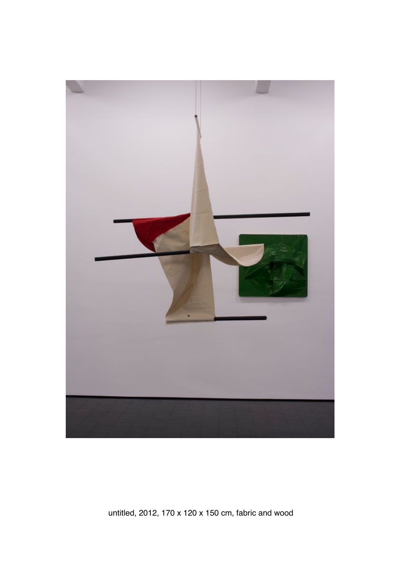

untitled, 2012, 170 x 120 x 150 cm, fabric and wood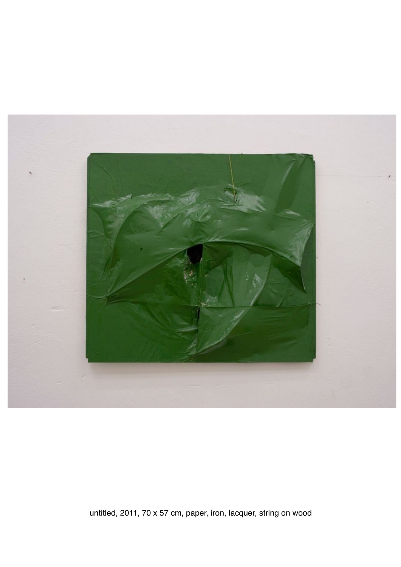

untitled, 2011, 70 x 57 cm, paper, iron, lacquer, string on wood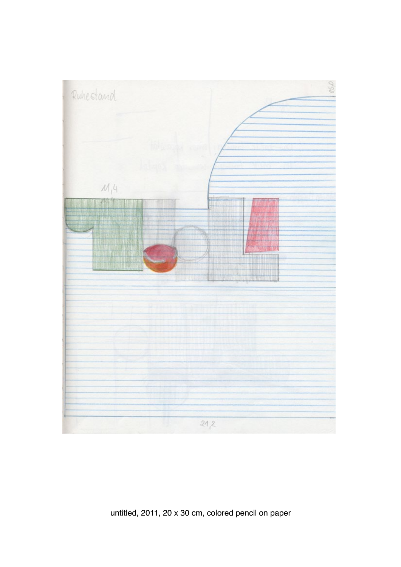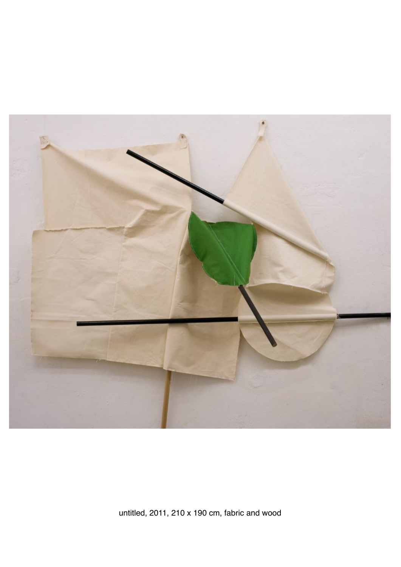

untitled, 2011, 210 x 190 cm, fabric and wood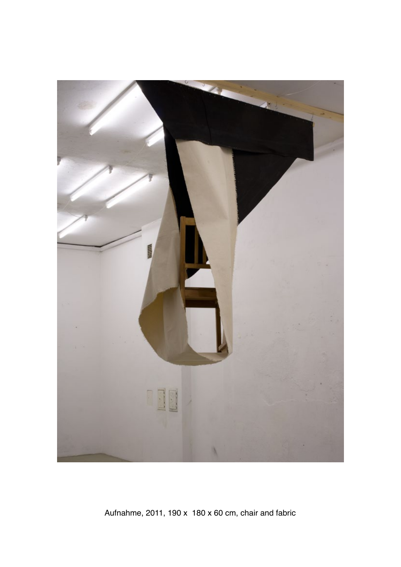

Aufnahme, 2011, 190 x 180 x 60 cm, chair and fabric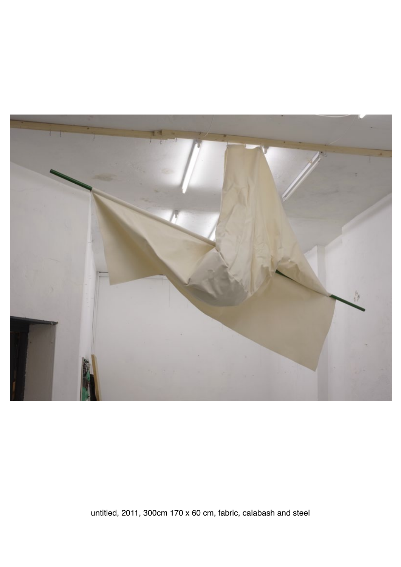

untitled, 2011, 300cm 170 x 60 cm, fabric, calabash and steel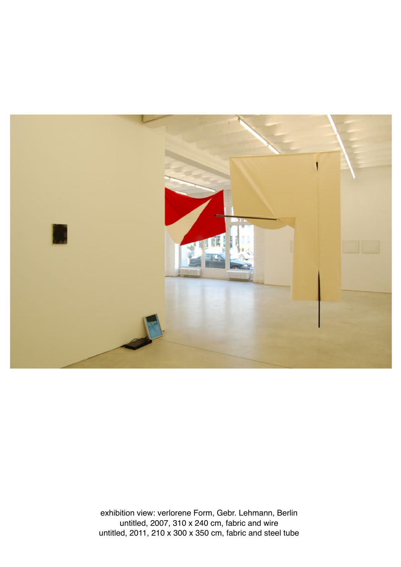

exhibition view: verlorene Form, Gebr. Lehmann, Berlin untitled, 2007, 310 x 240 cm, fabric and wire untitled, 2011, 210 x 300 x 350 cm, fabric and steel tube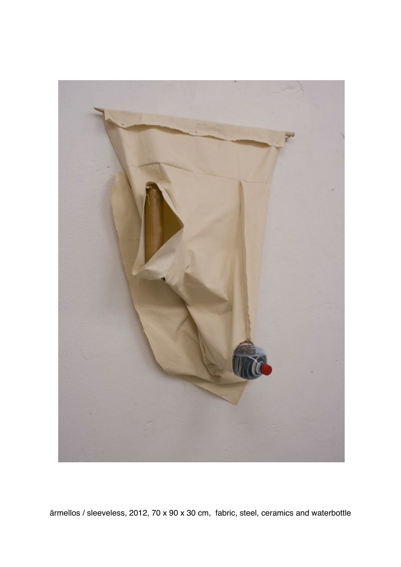

ärmellos / sleeveless, 2012, 70 x 90 x 30 cm, fabric, steel, ceramics and waterbottle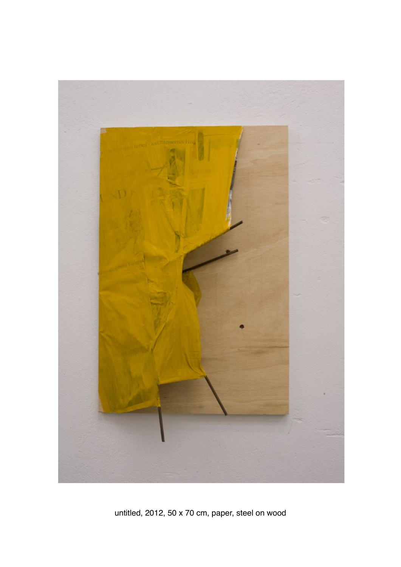

untitled, 2012, 50 x 70 cm, paper, steel on wood